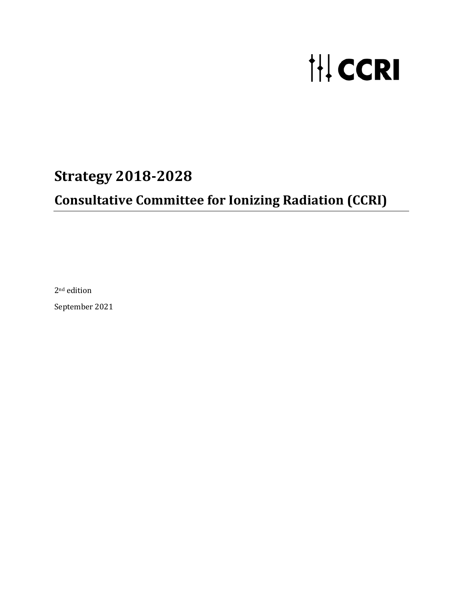# **IH CCRI**

# **Strategy 2018-2028**

# **Consultative Committee for Ionizing Radiation (CCRI)**

2nd edition

September 2021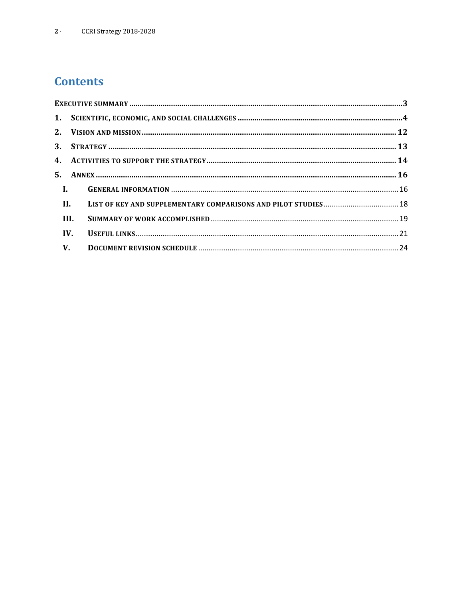## **Contents**

|                | $\mathbf{I}$ . |                                                                |  |
|----------------|----------------|----------------------------------------------------------------|--|
| $\mathbf{H}$ . |                | LIST OF KEY AND SUPPLEMENTARY COMPARISONS AND PILOT STUDIES 18 |  |
|                | III.           |                                                                |  |
| IV.            |                |                                                                |  |
|                | <b>V</b> .     |                                                                |  |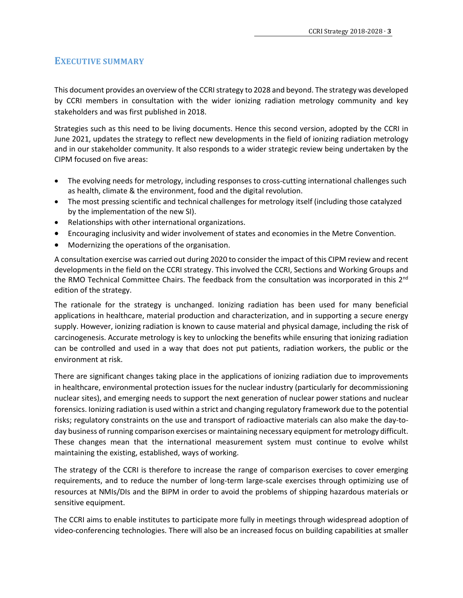## <span id="page-2-0"></span>**EXECUTIVE SUMMARY**

This document provides an overview of the CCRI strategy to 2028 and beyond. The strategy was developed by CCRI members in consultation with the wider ionizing radiation metrology community and key stakeholders and was first published in 2018.

Strategies such as this need to be living documents. Hence this second version, adopted by the CCRI in June 2021, updates the strategy to reflect new developments in the field of ionizing radiation metrology and in our stakeholder community. It also responds to a wider strategic review being undertaken by the CIPM focused on five areas:

- The evolving needs for metrology, including responses to cross-cutting international challenges such as health, climate & the environment, food and the digital revolution.
- The most pressing scientific and technical challenges for metrology itself (including those catalyzed by the implementation of the new SI).
- Relationships with other international organizations.
- Encouraging inclusivity and wider involvement of states and economies in the Metre Convention.
- Modernizing the operations of the organisation.

A consultation exercise was carried out during 2020 to consider the impact of this CIPM review and recent developments in the field on the CCRI strategy. This involved the CCRI, Sections and Working Groups and the RMO Technical Committee Chairs. The feedback from the consultation was incorporated in this 2<sup>nd</sup> edition of the strategy.

The rationale for the strategy is unchanged. Ionizing radiation has been used for many beneficial applications in healthcare, material production and characterization, and in supporting a secure energy supply. However, ionizing radiation is known to cause material and physical damage, including the risk of carcinogenesis. Accurate metrology is key to unlocking the benefits while ensuring that ionizing radiation can be controlled and used in a way that does not put patients, radiation workers, the public or the environment at risk.

There are significant changes taking place in the applications of ionizing radiation due to improvements in healthcare, environmental protection issues for the nuclear industry (particularly for decommissioning nuclear sites), and emerging needs to support the next generation of nuclear power stations and nuclear forensics. Ionizing radiation is used within a strict and changing regulatory framework due to the potential risks; regulatory constraints on the use and transport of radioactive materials can also make the day-today business of running comparison exercises or maintaining necessary equipment for metrology difficult. These changes mean that the international measurement system must continue to evolve whilst maintaining the existing, established, ways of working.

The strategy of the CCRI is therefore to increase the range of comparison exercises to cover emerging requirements, and to reduce the number of long-term large-scale exercises through optimizing use of resources at NMIs/DIs and the BIPM in order to avoid the problems of shipping hazardous materials or sensitive equipment.

The CCRI aims to enable institutes to participate more fully in meetings through widespread adoption of video-conferencing technologies. There will also be an increased focus on building capabilities at smaller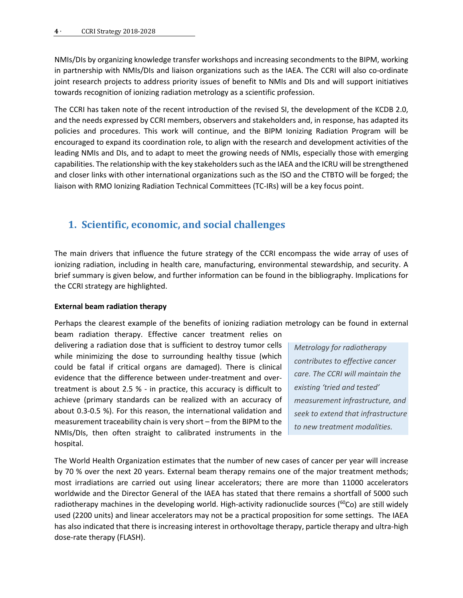NMIs/DIs by organizing knowledge transfer workshops and increasing secondments to the BIPM, working in partnership with NMIs/DIs and liaison organizations such as the IAEA. The CCRI will also co-ordinate joint research projects to address priority issues of benefit to NMIs and DIs and will support initiatives towards recognition of ionizing radiation metrology as a scientific profession.

The CCRI has taken note of the recent introduction of the revised SI, the development of the KCDB 2.0, and the needs expressed by CCRI members, observers and stakeholders and, in response, has adapted its policies and procedures. This work will continue, and the BIPM Ionizing Radiation Program will be encouraged to expand its coordination role, to align with the research and development activities of the leading NMIs and DIs, and to adapt to meet the growing needs of NMIs, especially those with emerging capabilities. The relationship with the key stakeholders such as the IAEA and the ICRU will be strengthened and closer links with other international organizations such as the ISO and the CTBTO will be forged; the liaison with RMO Ionizing Radiation Technical Committees (TC-IRs) will be a key focus point.

## <span id="page-3-0"></span>**1. Scientific, economic, and social challenges**

The main drivers that influence the future strategy of the CCRI encompass the wide array of uses of ionizing radiation, including in health care, manufacturing, environmental stewardship, and security. A brief summary is given below, and further information can be found in the bibliography. Implications for the CCRI strategy are highlighted.

## **External beam radiation therapy**

Perhaps the clearest example of the benefits of ionizing radiation metrology can be found in external beam radiation therapy. Effective cancer treatment relies on

delivering a radiation dose that is sufficient to destroy tumor cells while minimizing the dose to surrounding healthy tissue (which could be fatal if critical organs are damaged). There is clinical evidence that the difference between under-treatment and overtreatment is about 2.5 % - in practice, this accuracy is difficult to achieve (primary standards can be realized with an accuracy of about 0.3-0.5 %). For this reason, the international validation and measurement traceability chain is very short – from the BIPM to the NMIs/DIs, then often straight to calibrated instruments in the hospital.

*Metrology for radiotherapy contributes to effective cancer care. The CCRI will maintain the existing 'tried and tested' measurement infrastructure, and seek to extend that infrastructure to new treatment modalities.* 

The World Health Organization estimates that the number of new cases of cancer per year will increase by 70 % over the next 20 years. External beam therapy remains one of the major treatment methods; most irradiations are carried out using linear accelerators; there are more than 11000 accelerators worldwide and the Director General of the IAEA has stated that there remains a shortfall of 5000 such radiotherapy machines in the developing world. High-activity radionuclide sources ( $^{60}$ Co) are still widely used (2200 units) and linear accelerators may not be a practical proposition for some settings. The IAEA has also indicated that there is increasing interest in orthovoltage therapy, particle therapy and ultra-high dose-rate therapy (FLASH).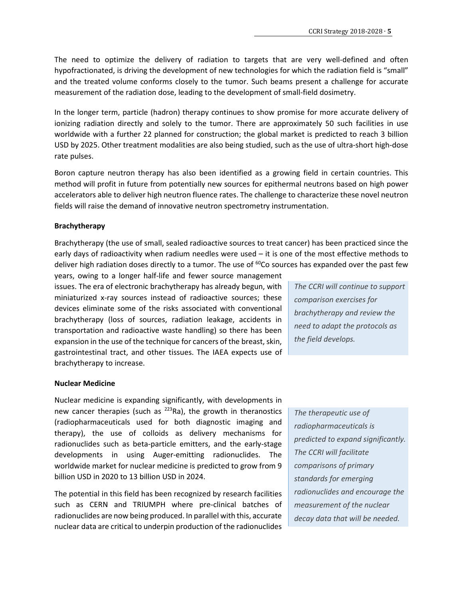The need to optimize the delivery of radiation to targets that are very well-defined and often hypofractionated, is driving the development of new technologies for which the radiation field is "small" and the treated volume conforms closely to the tumor. Such beams present a challenge for accurate measurement of the radiation dose, leading to the development of small-field dosimetry.

In the longer term, particle (hadron) therapy continues to show promise for more accurate delivery of ionizing radiation directly and solely to the tumor. There are approximately 50 such facilities in use worldwide with a further 22 planned for construction; the global market is predicted to reach 3 billion USD by 2025. Other treatment modalities are also being studied, such as the use of ultra-short high-dose rate pulses.

Boron capture neutron therapy has also been identified as a growing field in certain countries. This method will profit in future from potentially new sources for epithermal neutrons based on high power accelerators able to deliver high neutron fluence rates. The challenge to characterize these novel neutron fields will raise the demand of innovative neutron spectrometry instrumentation.

## **Brachytherapy**

Brachytherapy (the use of small, sealed radioactive sources to treat cancer) has been practiced since the early days of radioactivity when radium needles were used – it is one of the most effective methods to deliver high radiation doses directly to a tumor. The use of <sup>60</sup>Co sources has expanded over the past few

years, owing to a longer half-life and fewer source management issues. The era of electronic brachytherapy has already begun, with miniaturized x-ray sources instead of radioactive sources; these devices eliminate some of the risks associated with conventional brachytherapy (loss of sources, radiation leakage, accidents in transportation and radioactive waste handling) so there has been expansion in the use of the technique for cancers of the breast, skin, gastrointestinal tract, and other tissues. The IAEA expects use of brachytherapy to increase.

*The CCRI will continue to support comparison exercises for brachytherapy and review the need to adapt the protocols as the field develops.* 

## **Nuclear Medicine**

Nuclear medicine is expanding significantly, with developments in new cancer therapies (such as  $^{223}$ Ra), the growth in theranostics (radiopharmaceuticals used for both diagnostic imaging and therapy), the use of colloids as delivery mechanisms for radionuclides such as beta-particle emitters, and the early-stage developments in using Auger-emitting radionuclides. The worldwide market for nuclear medicine is predicted to grow from 9 billion USD in 2020 to 13 billion USD in 2024.

The potential in this field has been recognized by research facilities such as CERN and TRIUMPH where pre-clinical batches of radionuclides are now being produced. In parallel with this, accurate nuclear data are critical to underpin production of the radionuclides

*The therapeutic use of radiopharmaceuticals is predicted to expand significantly. The CCRI will facilitate comparisons of primary standards for emerging radionuclides and encourage the measurement of the nuclear decay data that will be needed.*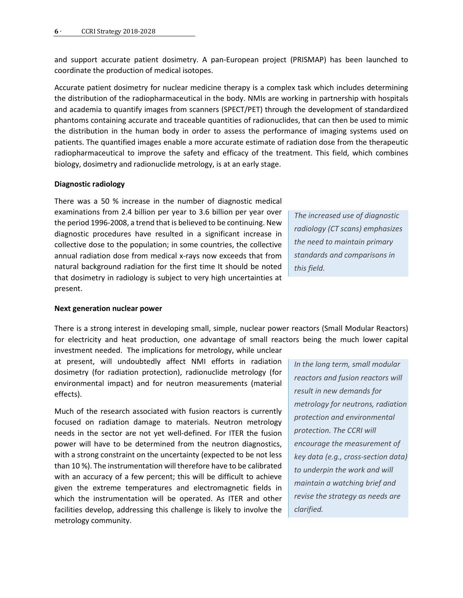and support accurate patient dosimetry. A pan-European project (PRISMAP) has been launched to coordinate the production of medical isotopes.

Accurate patient dosimetry for nuclear medicine therapy is a complex task which includes determining the distribution of the radiopharmaceutical in the body. NMIs are working in partnership with hospitals and academia to quantify images from scanners (SPECT/PET) through the development of standardized phantoms containing accurate and traceable quantities of radionuclides, that can then be used to mimic the distribution in the human body in order to assess the performance of imaging systems used on patients. The quantified images enable a more accurate estimate of radiation dose from the therapeutic radiopharmaceutical to improve the safety and efficacy of the treatment. This field, which combines biology, dosimetry and radionuclide metrology, is at an early stage.

#### **Diagnostic radiology**

There was a 50 % increase in the number of diagnostic medical examinations from 2.4 billion per year to 3.6 billion per year over the period 1996-2008, a trend that is believed to be continuing. New diagnostic procedures have resulted in a significant increase in collective dose to the population; in some countries, the collective annual radiation dose from medical x-rays now exceeds that from natural background radiation for the first time It should be noted that dosimetry in radiology is subject to very high uncertainties at present.

*The increased use of diagnostic radiology (CT scans) emphasizes the need to maintain primary standards and comparisons in this field.*

#### **Next generation nuclear power**

There is a strong interest in developing small, simple, nuclear power reactors (Small Modular Reactors) for electricity and heat production, one advantage of small reactors being the much lower capital investment needed. The implications for metrology, while unclear

at present, will undoubtedly affect NMI efforts in radiation dosimetry (for radiation protection), radionuclide metrology (for environmental impact) and for neutron measurements (material effects).

Much of the research associated with fusion reactors is currently focused on radiation damage to materials. Neutron metrology needs in the sector are not yet well-defined. For ITER the fusion power will have to be determined from the neutron diagnostics, with a strong constraint on the uncertainty (expected to be not less than 10 %). The instrumentation will therefore have to be calibrated with an accuracy of a few percent; this will be difficult to achieve given the extreme temperatures and electromagnetic fields in which the instrumentation will be operated. As ITER and other facilities develop, addressing this challenge is likely to involve the metrology community.

*In the long term, small modular reactors and fusion reactors will result in new demands for metrology for neutrons, radiation protection and environmental protection. The CCRI will encourage the measurement of key data (e.g., cross-section data) to underpin the work and will maintain a watching brief and revise the strategy as needs are clarified.*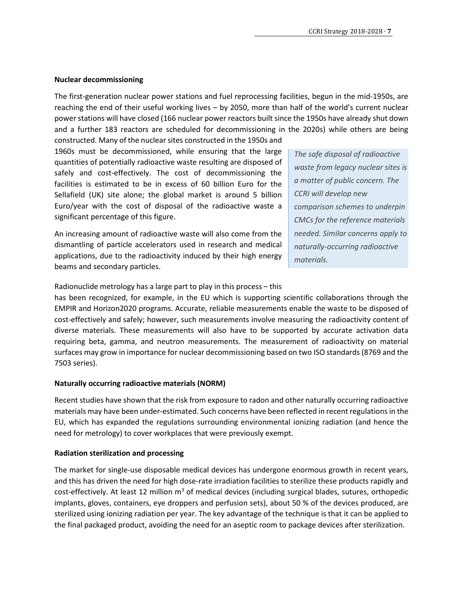## **Nuclear decommissioning**

The first-generation nuclear power stations and fuel reprocessing facilities, begun in the mid-1950s, are reaching the end of their useful working lives – by 2050, more than half of the world's current nuclear power stations will have closed (166 nuclear power reactors built since the 1950s have already shut down and a further 183 reactors are scheduled for decommissioning in the 2020s) while others are being constructed. Many of the nuclear sites constructed in the 1950s and

1960s must be decommissioned, while ensuring that the large quantities of potentially radioactive waste resulting are disposed of safely and cost-effectively. The cost of decommissioning the facilities is estimated to be in excess of 60 billion Euro for the Sellafield (UK) site alone; the global market is around 5 billion Euro/year with the cost of disposal of the radioactive waste a significant percentage of this figure.

An increasing amount of radioactive waste will also come from the dismantling of particle accelerators used in research and medical applications, due to the radioactivity induced by their high energy beams and secondary particles.

*The safe disposal of radioactive waste from legacy nuclear sites is a matter of public concern. The CCRI will develop new comparison schemes to underpin CMCs for the reference materials needed. Similar concerns apply to naturally-occurring radioactive materials.*

Radionuclide metrology has a large part to play in this process – this

has been recognized, for example, in the EU which is supporting scientific collaborations through the EMPIR and Horizon2020 programs. Accurate, reliable measurements enable the waste to be disposed of cost-effectively and safely; however, such measurements involve measuring the radioactivity content of diverse materials. These measurements will also have to be supported by accurate activation data requiring beta, gamma, and neutron measurements. The measurement of radioactivity on material surfaces may grow in importance for nuclear decommissioning based on two ISO standards (8769 and the 7503 series).

## **Naturally occurring radioactive materials (NORM)**

Recent studies have shown that the risk from exposure to radon and other naturally occurring radioactive materials may have been under-estimated. Such concerns have been reflected in recent regulations in the EU, which has expanded the regulations surrounding environmental ionizing radiation (and hence the need for metrology) to cover workplaces that were previously exempt.

## **Radiation sterilization and processing**

The market for single-use disposable medical devices has undergone enormous growth in recent years, and this has driven the need for high dose-rate irradiation facilities to sterilize these products rapidly and cost-effectively. At least 12 million  $m<sup>3</sup>$  of medical devices (including surgical blades, sutures, orthopedic implants, gloves, containers, eye droppers and perfusion sets), about 50 % of the devices produced, are sterilized using ionizing radiation per year. The key advantage of the technique is that it can be applied to the final packaged product, avoiding the need for an aseptic room to package devices after sterilization.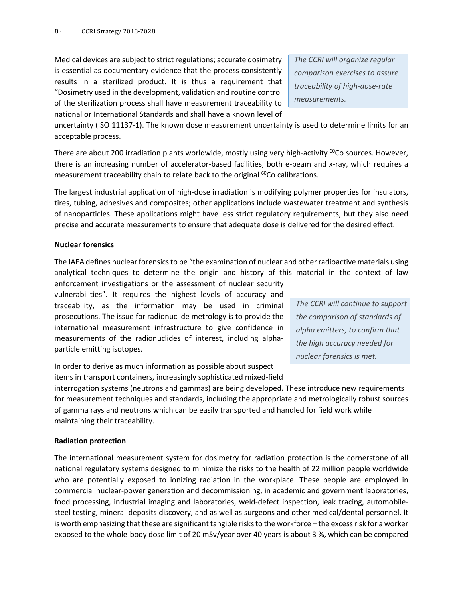Medical devices are subject to strict regulations; accurate dosimetry is essential as documentary evidence that the process consistently results in a sterilized product. It is thus a requirement that "Dosimetry used in the development, validation and routine control of the sterilization process shall have measurement traceability to national or International Standards and shall have a known level of *The CCRI will organize regular comparison exercises to assure traceability of high-dose-rate measurements.*

uncertainty (ISO 11137-1). The known dose measurement uncertainty is used to determine limits for an acceptable process.

There are about 200 irradiation plants worldwide, mostly using very high-activity  $^{60}$ Co sources. However, there is an increasing number of accelerator-based facilities, both e-beam and x-ray, which requires a measurement traceability chain to relate back to the original <sup>60</sup>Co calibrations.

The largest industrial application of high-dose irradiation is modifying polymer properties for insulators, tires, tubing, adhesives and composites; other applications include wastewater treatment and synthesis of nanoparticles. These applications might have less strict regulatory requirements, but they also need precise and accurate measurements to ensure that adequate dose is delivered for the desired effect.

## **Nuclear forensics**

The IAEA defines nuclear forensics to be "the examination of nuclear and other radioactive materials using analytical techniques to determine the origin and history of this material in the context of law

enforcement investigations or the assessment of nuclear security vulnerabilities". It requires the highest levels of accuracy and traceability, as the information may be used in criminal prosecutions. The issue for radionuclide metrology is to provide the international measurement infrastructure to give confidence in measurements of the radionuclides of interest, including alphaparticle emitting isotopes.

*The CCRI will continue to support the comparison of standards of alpha emitters, to confirm that the high accuracy needed for nuclear forensics is met.* 

In order to derive as much information as possible about suspect items in transport containers, increasingly sophisticated mixed-field

interrogation systems (neutrons and gammas) are being developed. These introduce new requirements for measurement techniques and standards, including the appropriate and metrologically robust sources of gamma rays and neutrons which can be easily transported and handled for field work while maintaining their traceability.

## **Radiation protection**

The international measurement system for dosimetry for radiation protection is the cornerstone of all national regulatory systems designed to minimize the risks to the health of 22 million people worldwide who are potentially exposed to ionizing radiation in the workplace. These people are employed in commercial nuclear-power generation and decommissioning, in academic and government laboratories, food processing, industrial imaging and laboratories, weld-defect inspection, leak tracing, automobilesteel testing, mineral-deposits discovery, and as well as surgeons and other medical/dental personnel. It is worth emphasizing that these are significant tangible risks to the workforce – the excess risk for a worker exposed to the whole-body dose limit of 20 mSv/year over 40 years is about 3 %, which can be compared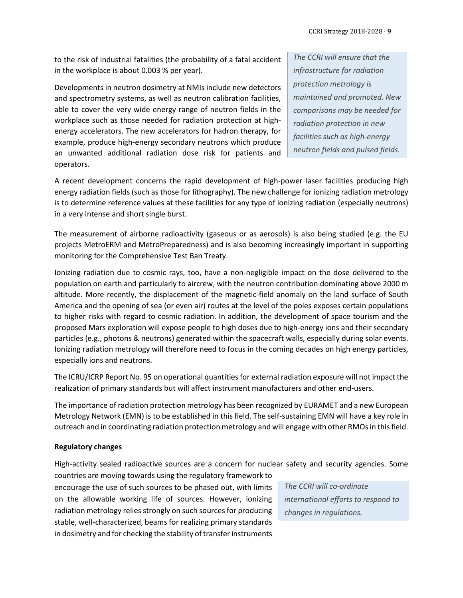to the risk of industrial fatalities (the probability of a fatal accident in the workplace is about 0.003 % per year).

Developments in neutron dosimetry at NMIs include new detectors and spectrometry systems, as well as neutron calibration facilities, able to cover the very wide energy range of neutron fields in the workplace such as those needed for radiation protection at highenergy accelerators. The new accelerators for hadron therapy, for example, produce high-energy secondary neutrons which produce an unwanted additional radiation dose risk for patients and operators.

*The CCRI will ensure that the infrastructure for radiation protection metrology is maintained and promoted. New comparisons may be needed for radiation protection in new facilities such as high-energy neutron fields and pulsed fields.*

A recent development concerns the rapid development of high-power laser facilities producing high energy radiation fields (such as those for lithography). The new challenge for ionizing radiation metrology is to determine reference values at these facilities for any type of ionizing radiation (especially neutrons) in a very intense and short single burst.

The measurement of airborne radioactivity (gaseous or as aerosols) is also being studied (e.g. the EU projects MetroERM and MetroPreparedness) and is also becoming increasingly important in supporting monitoring for the Comprehensive Test Ban Treaty.

Ionizing radiation due to cosmic rays, too, have a non-negligible impact on the dose delivered to the population on earth and particularly to aircrew, with the neutron contribution dominating above 2000 m altitude. More recently, the displacement of the magnetic-field anomaly on the land surface of South America and the opening of sea (or even air) routes at the level of the poles exposes certain populations to higher risks with regard to cosmic radiation. In addition, the development of space tourism and the proposed Mars exploration will expose people to high doses due to high-energy ions and their secondary particles (e.g., photons & neutrons) generated within the spacecraft walls, especially during solar events. Ionizing radiation metrology will therefore need to focus in the coming decades on high energy particles, especially ions and neutrons.

The ICRU/ICRP Report No. 95 on operational quantities for external radiation exposure will not impact the realization of primary standards but will affect instrument manufacturers and other end-users.

The importance of radiation protection metrology has been recognized by EURAMET and a new European Metrology Network (EMN) is to be established in this field. The self-sustaining EMN will have a key role in outreach and in coordinating radiation protection metrology and will engage with other RMOs in this field.

## **Regulatory changes**

High-activity sealed radioactive sources are a concern for nuclear safety and security agencies. Some

countries are moving towards using the regulatory framework to encourage the use of such sources to be phased out, with limits on the allowable working life of sources. However, ionizing radiation metrology relies strongly on such sources for producing stable, well-characterized, beams for realizing primary standards in dosimetry and for checking the stability of transfer instruments

*The CCRI will co-ordinate international efforts to respond to changes in regulations.*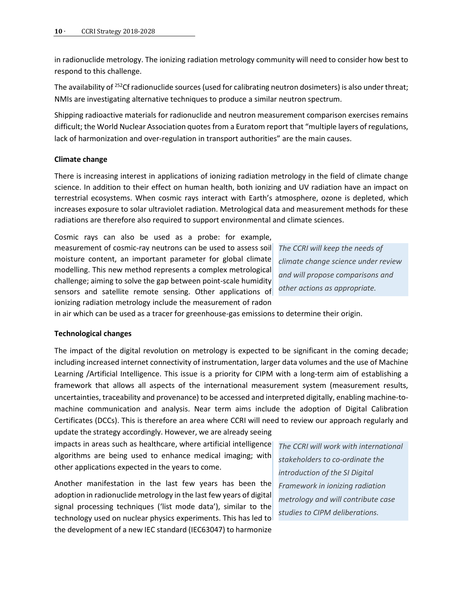in radionuclide metrology. The ionizing radiation metrology community will need to consider how best to respond to this challenge.

The availability of <sup>252</sup>Cf radionuclide sources (used for calibrating neutron dosimeters) is also under threat; NMIs are investigating alternative techniques to produce a similar neutron spectrum.

Shipping radioactive materials for radionuclide and neutron measurement comparison exercises remains difficult; the World Nuclear Association quotes from a Euratom report that "multiple layers of regulations, lack of harmonization and over-regulation in transport authorities" are the main causes.

## **Climate change**

There is increasing interest in applications of ionizing radiation metrology in the field of climate change science. In addition to their effect on human health, both ionizing and UV radiation have an impact on terrestrial ecosystems. When cosmic rays interact with Earth's atmosphere, ozone is depleted, which increases exposure to solar ultraviolet radiation. Metrological data and measurement methods for these radiations are therefore also required to support environmental and climate sciences.

Cosmic rays can also be used as a probe: for example, measurement of cosmic-ray neutrons can be used to assess soil moisture content, an important parameter for global climate modelling. This new method represents a complex metrological challenge; aiming to solve the gap between point-scale humidity sensors and satellite remote sensing. Other applications of ionizing radiation metrology include the measurement of radon

*The CCRI will keep the needs of climate change science under review and will propose comparisons and other actions as appropriate.* 

in air which can be used as a tracer for greenhouse-gas emissions to determine their origin.

## **Technological changes**

The impact of the digital revolution on metrology is expected to be significant in the coming decade; including increased internet connectivity of instrumentation, larger data volumes and the use of Machine Learning /Artificial Intelligence. This issue is a priority for CIPM with a long-term aim of establishing a framework that allows all aspects of the international measurement system (measurement results, uncertainties, traceability and provenance) to be accessed and interpreted digitally, enabling machine-tomachine communication and analysis. Near term aims include the adoption of Digital Calibration Certificates (DCCs). This is therefore an area where CCRI will need to review our approach regularly and

update the strategy accordingly. However, we are already seeing impacts in areas such as healthcare, where artificial intelligence algorithms are being used to enhance medical imaging; with other applications expected in the years to come.

Another manifestation in the last few years has been the adoption in radionuclide metrology in the last few years of digital signal processing techniques ('list mode data'), similar to the technology used on nuclear physics experiments. This has led to the development of a new IEC standard (IEC63047) to harmonize

*The CCRI will work with international stakeholders to co-ordinate the introduction of the SI Digital Framework in ionizing radiation metrology and will contribute case studies to CIPM deliberations.*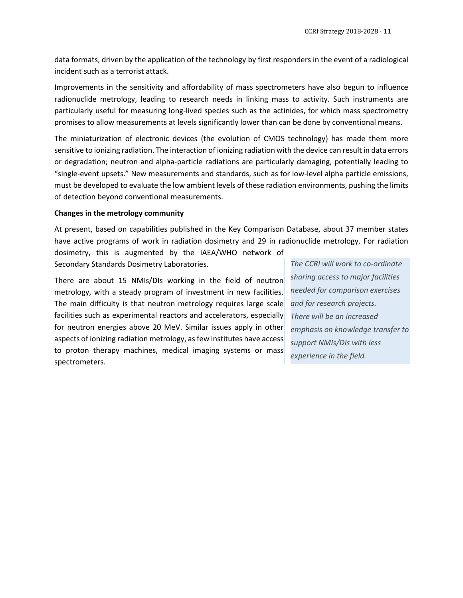data formats, driven by the application of the technology by first responders in the event of a radiological incident such as a terrorist attack.

Improvements in the sensitivity and affordability of mass spectrometers have also begun to influence radionuclide metrology, leading to research needs in linking mass to activity. Such instruments are particularly useful for measuring long-lived species such as the actinides, for which mass spectrometry promises to allow measurements at levels significantly lower than can be done by conventional means.

The miniaturization of electronic devices (the evolution of CMOS technology) has made them more sensitive to ionizing radiation. The interaction of ionizing radiation with the device can result in data errors or degradation; neutron and alpha-particle radiations are particularly damaging, potentially leading to "single-event upsets." New measurements and standards, such as for low-level alpha particle emissions, must be developed to evaluate the low ambient levels of these radiation environments, pushing the limits of detection beyond conventional measurements.

## **Changes in the metrology community**

At present, based on capabilities published in the Key Comparison Database, about 37 member states have active programs of work in radiation dosimetry and 29 in radionuclide metrology. For radiation

dosimetry, this is augmented by the IAEA/WHO network of Secondary Standards Dosimetry Laboratories.

There are about 15 NMIs/DIs working in the field of neutron metrology, with a steady program of investment in new facilities. The main difficulty is that neutron metrology requires large scale facilities such as experimental reactors and accelerators, especially for neutron energies above 20 MeV. Similar issues apply in other aspects of ionizing radiation metrology, as few institutes have access to proton therapy machines, medical imaging systems or mass spectrometers.

*The CCRI will work to co-ordinate sharing access to major facilities needed for comparison exercises and for research projects. There will be an increased emphasis on knowledge transfer to support NMIs/DIs with less experience in the field.*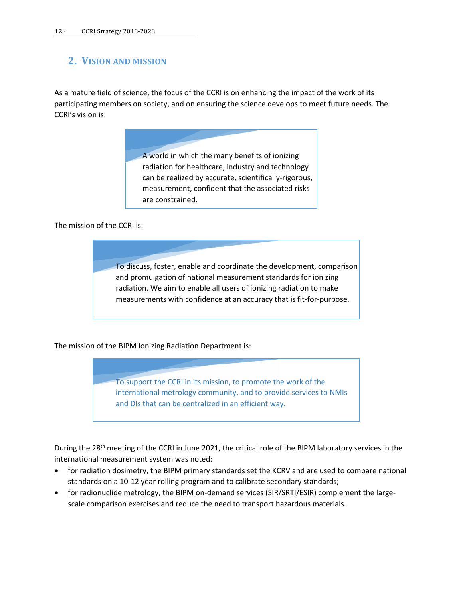## <span id="page-11-0"></span>**2. VISION AND MISSION**

As a mature field of science, the focus of the CCRI is on enhancing the impact of the work of its participating members on society, and on ensuring the science develops to meet future needs. The CCRI's vision is:

> A world in which the many benefits of ionizing radiation for healthcare, industry and technology can be realized by accurate, scientifically-rigorous, measurement, confident that the associated risks are constrained.

The mission of the CCRI is:

To discuss, foster, enable and coordinate the development, comparison and promulgation of national measurement standards for ionizing radiation. We aim to enable all users of ionizing radiation to make measurements with confidence at an accuracy that is fit-for-purpose.

The mission of the BIPM Ionizing Radiation Department is:

To support the CCRI in its mission, to promote the work of the international metrology community, and to provide services to NMIs and DIs that can be centralized in an efficient way.

During the 28<sup>th</sup> meeting of the CCRI in June 2021, the critical role of the BIPM laboratory services in the international measurement system was noted:

- for radiation dosimetry, the BIPM primary standards set the KCRV and are used to compare national standards on a 10-12 year rolling program and to calibrate secondary standards;
- for radionuclide metrology, the BIPM on-demand services (SIR/SRTI/ESIR) complement the largescale comparison exercises and reduce the need to transport hazardous materials.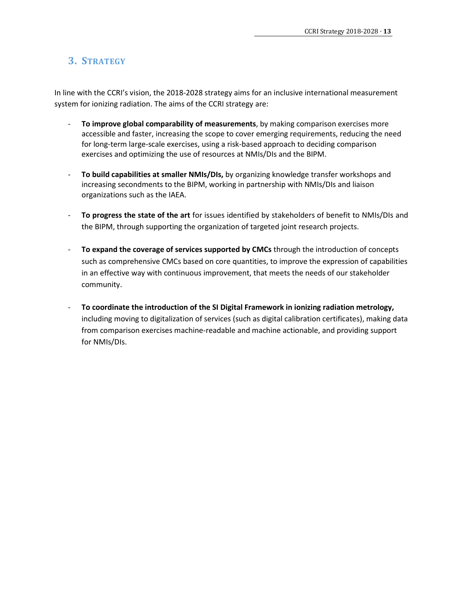## <span id="page-12-0"></span>**3. STRATEGY**

In line with the CCRI's vision, the 2018-2028 strategy aims for an inclusive international measurement system for ionizing radiation. The aims of the CCRI strategy are:

- **To improve global comparability of measurements**, by making comparison exercises more accessible and faster, increasing the scope to cover emerging requirements, reducing the need for long-term large-scale exercises, using a risk-based approach to deciding comparison exercises and optimizing the use of resources at NMIs/DIs and the BIPM.
- **To build capabilities at smaller NMIs/DIs,** by organizing knowledge transfer workshops and increasing secondments to the BIPM, working in partnership with NMIs/DIs and liaison organizations such as the IAEA.
- **To progress the state of the art** for issues identified by stakeholders of benefit to NMIs/DIs and the BIPM, through supporting the organization of targeted joint research projects.
- **To expand the coverage of services supported by CMCs** through the introduction of concepts such as comprehensive CMCs based on core quantities, to improve the expression of capabilities in an effective way with continuous improvement, that meets the needs of our stakeholder community.
- **To coordinate the introduction of the SI Digital Framework in ionizing radiation metrology,** including moving to digitalization of services (such as digital calibration certificates), making data from comparison exercises machine-readable and machine actionable, and providing support for NMIs/DIs.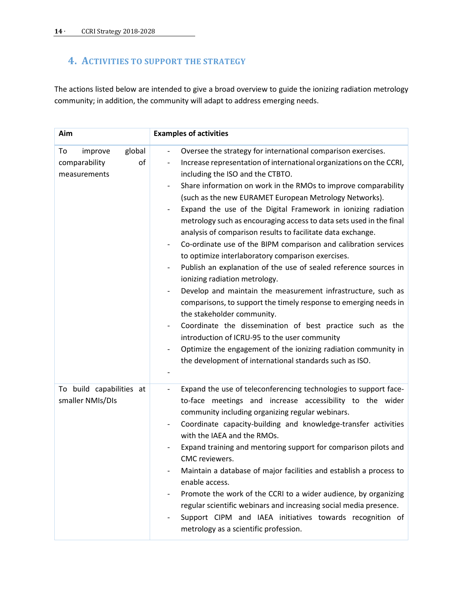## <span id="page-13-0"></span>**4. ACTIVITIES TO SUPPORT THE STRATEGY**

The actions listed below are intended to give a broad overview to guide the ionizing radiation metrology community; in addition, the community will adapt to address emerging needs.

| Aim                                                            | <b>Examples of activities</b>                                                                                                                                                                                                                                                                                                                                                                                                                                                                                                                                                                                                                                                                                                                                                                                                                                                                                                                                                                                                                                                                                                                                                                                                                                                                                      |
|----------------------------------------------------------------|--------------------------------------------------------------------------------------------------------------------------------------------------------------------------------------------------------------------------------------------------------------------------------------------------------------------------------------------------------------------------------------------------------------------------------------------------------------------------------------------------------------------------------------------------------------------------------------------------------------------------------------------------------------------------------------------------------------------------------------------------------------------------------------------------------------------------------------------------------------------------------------------------------------------------------------------------------------------------------------------------------------------------------------------------------------------------------------------------------------------------------------------------------------------------------------------------------------------------------------------------------------------------------------------------------------------|
| global<br>To<br>improve<br>comparability<br>of<br>measurements | Oversee the strategy for international comparison exercises.<br>$\blacksquare$<br>Increase representation of international organizations on the CCRI,<br>$\overline{\phantom{a}}$<br>including the ISO and the CTBTO.<br>Share information on work in the RMOs to improve comparability<br>$\overline{\phantom{a}}$<br>(such as the new EURAMET European Metrology Networks).<br>Expand the use of the Digital Framework in ionizing radiation<br>$\overline{\phantom{0}}$<br>metrology such as encouraging access to data sets used in the final<br>analysis of comparison results to facilitate data exchange.<br>Co-ordinate use of the BIPM comparison and calibration services<br>$\overline{\phantom{a}}$<br>to optimize interlaboratory comparison exercises.<br>Publish an explanation of the use of sealed reference sources in<br>ionizing radiation metrology.<br>Develop and maintain the measurement infrastructure, such as<br>$\overline{\phantom{a}}$<br>comparisons, to support the timely response to emerging needs in<br>the stakeholder community.<br>Coordinate the dissemination of best practice such as the<br>introduction of ICRU-95 to the user community<br>Optimize the engagement of the ionizing radiation community in<br>the development of international standards such as ISO. |
| To build capabilities at<br>smaller NMIs/DIs                   | Expand the use of teleconferencing technologies to support face-<br>$\qquad \qquad \blacksquare$<br>to-face meetings and increase accessibility to the wider<br>community including organizing regular webinars.<br>Coordinate capacity-building and knowledge-transfer activities<br>with the IAEA and the RMOs.<br>Expand training and mentoring support for comparison pilots and<br>CMC reviewers.<br>Maintain a database of major facilities and establish a process to<br>enable access.<br>Promote the work of the CCRI to a wider audience, by organizing<br>regular scientific webinars and increasing social media presence.<br>Support CIPM and IAEA initiatives towards recognition of<br>$\overline{\phantom{0}}$<br>metrology as a scientific profession.                                                                                                                                                                                                                                                                                                                                                                                                                                                                                                                                            |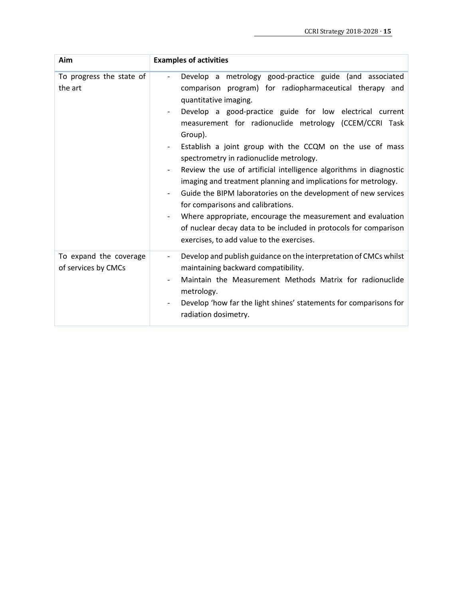| Aim                                           | <b>Examples of activities</b>                                                                                                                                                                                                                                                                                                                                                                                                                                                                                                                                                                                                                                                                                                                                                                                                                  |
|-----------------------------------------------|------------------------------------------------------------------------------------------------------------------------------------------------------------------------------------------------------------------------------------------------------------------------------------------------------------------------------------------------------------------------------------------------------------------------------------------------------------------------------------------------------------------------------------------------------------------------------------------------------------------------------------------------------------------------------------------------------------------------------------------------------------------------------------------------------------------------------------------------|
| To progress the state of<br>the art           | Develop a metrology good-practice guide (and associated<br>$\overline{\phantom{a}}$<br>comparison program) for radiopharmaceutical therapy and<br>quantitative imaging.<br>Develop a good-practice guide for low electrical current<br>measurement for radionuclide metrology (CCEM/CCRI Task<br>Group).<br>Establish a joint group with the CCQM on the use of mass<br>spectrometry in radionuclide metrology.<br>Review the use of artificial intelligence algorithms in diagnostic<br>imaging and treatment planning and implications for metrology.<br>Guide the BIPM laboratories on the development of new services<br>for comparisons and calibrations.<br>Where appropriate, encourage the measurement and evaluation<br>of nuclear decay data to be included in protocols for comparison<br>exercises, to add value to the exercises. |
| To expand the coverage<br>of services by CMCs | Develop and publish guidance on the interpretation of CMCs whilst<br>$\overline{\phantom{a}}$<br>maintaining backward compatibility.<br>Maintain the Measurement Methods Matrix for radionuclide<br>$\overline{\phantom{a}}$<br>metrology.<br>Develop 'how far the light shines' statements for comparisons for<br>radiation dosimetry.                                                                                                                                                                                                                                                                                                                                                                                                                                                                                                        |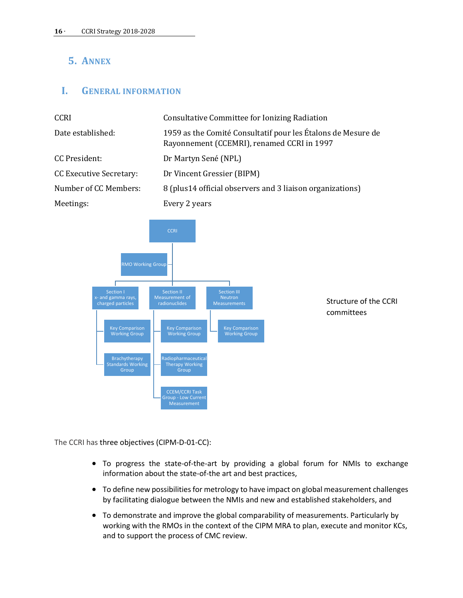## <span id="page-15-0"></span>**5. ANNEX**

## <span id="page-15-1"></span>**I. GENERAL INFORMATION**

| <b>CCRI</b>                    | Consultative Committee for Ionizing Radiation                                                              |
|--------------------------------|------------------------------------------------------------------------------------------------------------|
| Date established:              | 1959 as the Comité Consultatif pour les Étalons de Mesure de<br>Rayonnement (CCEMRI), renamed CCRI in 1997 |
| CC President:                  | Dr Martyn Sené (NPL)                                                                                       |
| <b>CC Executive Secretary:</b> | Dr Vincent Gressier (BIPM)                                                                                 |
| Number of CC Members:          | 8 (plus 14 official observers and 3 liaison organizations)                                                 |
| Meetings:                      | Every 2 years                                                                                              |



Structure of the CCRI committees

The CCRI has three objectives (CIPM-D-01-CC):

- To progress the state-of-the-art by providing a global forum for NMIs to exchange information about the state-of-the art and best practices,
- To define new possibilities for metrology to have impact on global measurement challenges by facilitating dialogue between the NMIs and new and established stakeholders, and
- To demonstrate and improve the global comparability of measurements. Particularly by working with the RMOs in the context of the CIPM MRA to plan, execute and monitor KCs, and to support the process of CMC review.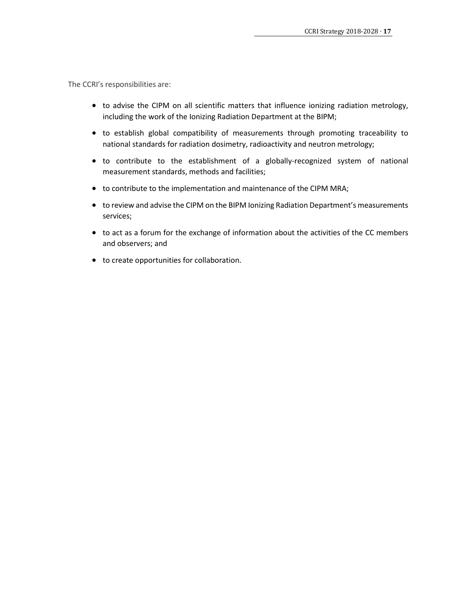The CCRI's responsibilities are:

- to advise the CIPM on all scientific matters that influence ionizing radiation metrology, including the work of the Ionizing Radiation Department at the BIPM;
- to establish global compatibility of measurements through promoting traceability to national standards for radiation dosimetry, radioactivity and neutron metrology;
- to contribute to the establishment of a globally-recognized system of national measurement standards, methods and facilities;
- to contribute to the implementation and maintenance of the CIPM MRA;
- to review and advise the CIPM on the BIPM Ionizing Radiation Department's measurements services;
- to act as a forum for the exchange of information about the activities of the CC members and observers; and
- to create opportunities for collaboration.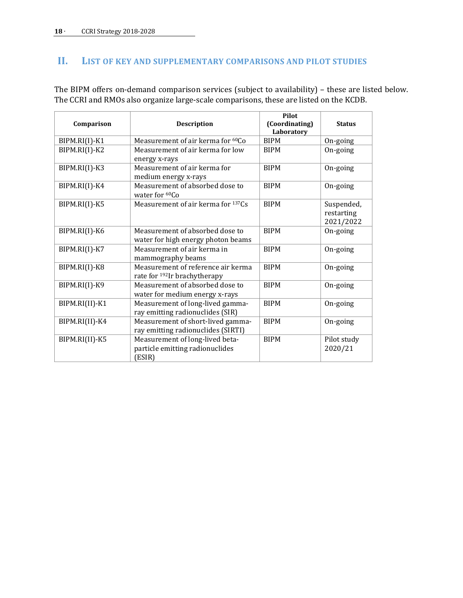## <span id="page-17-0"></span>**II. LIST OF KEY AND SUPPLEMENTARY COMPARISONS AND PILOT STUDIES**

The BIPM offers on-demand comparison services (subject to availability) – these are listed below. The CCRI and RMOs also organize large-scale comparisons, these are listed on the KCDB.

| Comparison      | <b>Description</b>                                                             | Pilot<br>(Coordinating)<br>Laboratory | <b>Status</b>                         |
|-----------------|--------------------------------------------------------------------------------|---------------------------------------|---------------------------------------|
| $BIPM.RI(I)-K1$ | Measurement of air kerma for <sup>60</sup> Co                                  | <b>BIPM</b>                           | On-going                              |
| BIPM.RI(I)-K2   | Measurement of air kerma for low<br>energy x-rays                              | <b>BIPM</b>                           | On-going                              |
| BIPM.RI(I)-K3   | Measurement of air kerma for<br>medium energy x-rays                           | <b>BIPM</b>                           | On-going                              |
| BIPM.RI(I)-K4   | Measurement of absorbed dose to<br>water for ${}^{60}Co$                       | <b>BIPM</b>                           | On-going                              |
| BIPM.RI(I)-K5   | Measurement of air kerma for 137Cs                                             | <b>BIPM</b>                           | Suspended,<br>restarting<br>2021/2022 |
| BIPM.RI(I)-K6   | Measurement of absorbed dose to<br>water for high energy photon beams          | <b>BIPM</b>                           | On-going                              |
| BIPM.RI(I)-K7   | Measurement of air kerma in<br>mammography beams                               | <b>BIPM</b>                           | On-going                              |
| BIPM.RI(I)-K8   | Measurement of reference air kerma<br>rate for <sup>192</sup> Ir brachytherapy | <b>BIPM</b>                           | On-going                              |
| BIPM.RI(I)-K9   | Measurement of absorbed dose to<br>water for medium energy x-rays              | <b>BIPM</b>                           | On-going                              |
| BIPM.RI(II)-K1  | Measurement of long-lived gamma-<br>ray emitting radionuclides (SIR)           | <b>BIPM</b>                           | On-going                              |
| BIPM.RI(II)-K4  | Measurement of short-lived gamma-<br>ray emitting radionuclides (SIRTI)        | <b>BIPM</b>                           | On-going                              |
| BIPM.RI(II)-K5  | Measurement of long-lived beta-<br>particle emitting radionuclides<br>(ESIR)   | <b>BIPM</b>                           | Pilot study<br>2020/21                |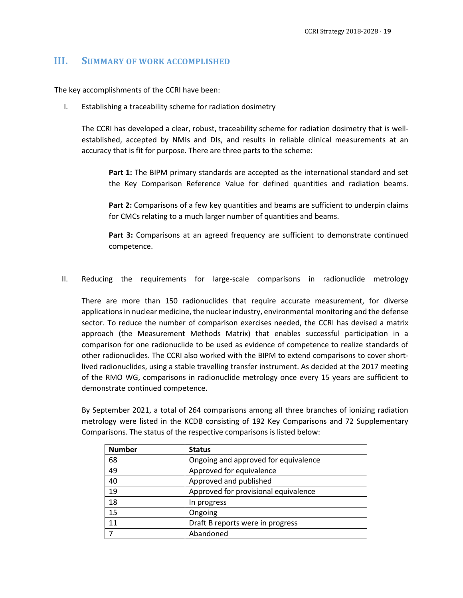## <span id="page-18-0"></span>**III. SUMMARY OF WORK ACCOMPLISHED**

The key accomplishments of the CCRI have been:

I. Establishing a traceability scheme for radiation dosimetry

The CCRI has developed a clear, robust, traceability scheme for radiation dosimetry that is wellestablished, accepted by NMIs and DIs, and results in reliable clinical measurements at an accuracy that is fit for purpose. There are three parts to the scheme:

**Part 1:** The BIPM primary standards are accepted as the international standard and set the Key Comparison Reference Value for defined quantities and radiation beams.

**Part 2:** Comparisons of a few key quantities and beams are sufficient to underpin claims for CMCs relating to a much larger number of quantities and beams.

**Part 3:** Comparisons at an agreed frequency are sufficient to demonstrate continued competence.

II. Reducing the requirements for large-scale comparisons in radionuclide metrology

There are more than 150 radionuclides that require accurate measurement, for diverse applications in nuclear medicine, the nuclear industry, environmental monitoring and the defense sector. To reduce the number of comparison exercises needed, the CCRI has devised a matrix approach (the Measurement Methods Matrix) that enables successful participation in a comparison for one radionuclide to be used as evidence of competence to realize standards of other radionuclides. The CCRI also worked with the BIPM to extend comparisons to cover shortlived radionuclides, using a stable travelling transfer instrument. As decided at the 2017 meeting of the RMO WG, comparisons in radionuclide metrology once every 15 years are sufficient to demonstrate continued competence.

By September 2021, a total of 264 comparisons among all three branches of ionizing radiation metrology were listed in the KCDB consisting of 192 Key Comparisons and 72 Supplementary Comparisons. The status of the respective comparisons is listed below:

| <b>Number</b> | <b>Status</b>                        |
|---------------|--------------------------------------|
| 68            | Ongoing and approved for equivalence |
| 49            | Approved for equivalence             |
| 40            | Approved and published               |
| 19            | Approved for provisional equivalence |
| 18            | In progress                          |
| 15            | Ongoing                              |
| 11            | Draft B reports were in progress     |
| 7             | Abandoned                            |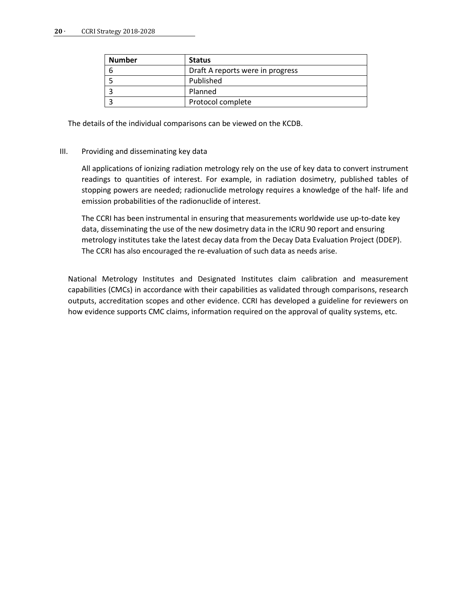#### **20** ∙ CCRI Strategy 2018-2028

| <b>Number</b> | <b>Status</b>                    |
|---------------|----------------------------------|
|               | Draft A reports were in progress |
|               | Published                        |
|               | Planned                          |
|               | Protocol complete                |

The details of the individual comparisons can be viewed on the KCDB.

## III. Providing and disseminating key data

All applications of ionizing radiation metrology rely on the use of key data to convert instrument readings to quantities of interest. For example, in radiation dosimetry, published tables of stopping powers are needed; radionuclide metrology requires a knowledge of the half- life and emission probabilities of the radionuclide of interest.

The CCRI has been instrumental in ensuring that measurements worldwide use up-to-date key data, disseminating the use of the new dosimetry data in the ICRU 90 report and ensuring metrology institutes take the latest decay data from the Decay Data Evaluation Project (DDEP). The CCRI has also encouraged the re-evaluation of such data as needs arise.

National Metrology Institutes and Designated Institutes claim calibration and measurement capabilities (CMCs) in accordance with their capabilities as validated through comparisons, research outputs, accreditation scopes and other evidence. CCRI has developed a guideline for reviewers on how evidence supports CMC claims, information required on the approval of quality systems, etc.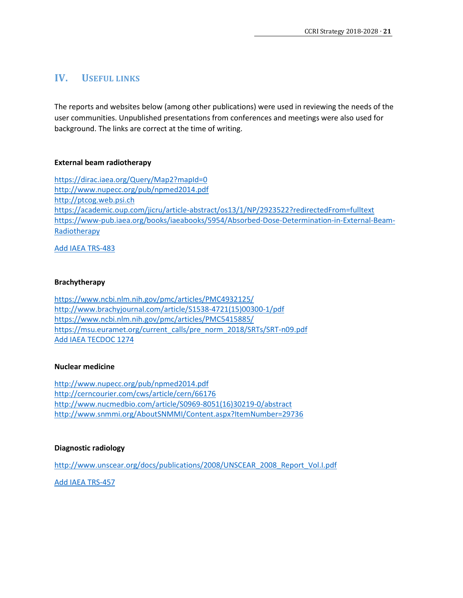## <span id="page-20-0"></span>**IV. USEFUL LINKS**

The reports and websites below (among other publications) were used in reviewing the needs of the user communities. Unpublished presentations from conferences and meetings were also used for background. The links are correct at the time of writing.

## **External beam radiotherapy**

https://dirac.iaea.org/Query/Map2?mapId=0 http://www.nupecc.org/pub/npmed2014.pdf http://ptcog.web.psi.ch https://academic.oup.com/jicru/article-abstract/os13/1/NP/2923522?redirectedFrom=fulltext https://www-pub.iaea.org/books/iaeabooks/5954/Absorbed-Dose-Determination-in-External-Beam-Radiotherapy

Add IAEA TRS-483

## **Brachytherapy**

https://www.ncbi.nlm.nih.gov/pmc/articles/PMC4932125/ http://www.brachyjournal.com/article/S1538-4721(15)00300-1/pdf https://www.ncbi.nlm.nih.gov/pmc/articles/PMC5415885/ https://msu.euramet.org/current\_calls/pre\_norm\_2018/SRTs/SRT-n09.pdf Add IAEA TECDOC 1274

## **Nuclear medicine**

http://www.nupecc.org/pub/npmed2014.pdf http://cerncourier.com/cws/article/cern/66176 http://www.nucmedbio.com/article/S0969-8051(16)30219-0/abstract http://www.snmmi.org/AboutSNMMI/Content.aspx?ItemNumber=29736

## **Diagnostic radiology**

http://www.unscear.org/docs/publications/2008/UNSCEAR\_2008\_Report\_Vol.I.pdf

Add IAEA TRS-457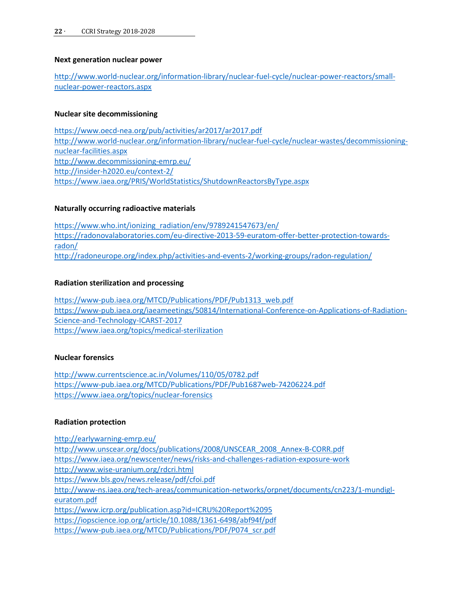## **Next generation nuclear power**

http://www.world-nuclear.org/information-library/nuclear-fuel-cycle/nuclear-power-reactors/smallnuclear-power-reactors.aspx

## **Nuclear site decommissioning**

https://www.oecd-nea.org/pub/activities/ar2017/ar2017.pdf http://www.world-nuclear.org/information-library/nuclear-fuel-cycle/nuclear-wastes/decommissioningnuclear-facilities.aspx http://www.decommissioning-emrp.eu/ http://insider-h2020.eu/context-2/ https://www.iaea.org/PRIS/WorldStatistics/ShutdownReactorsByType.aspx

## **Naturally occurring radioactive materials**

https://www.who.int/ionizing\_radiation/env/9789241547673/en/ https://radonovalaboratories.com/eu-directive-2013-59-euratom-offer-better-protection-towardsradon/ http://radoneurope.org/index.php/activities-and-events-2/working-groups/radon-regulation/

## **Radiation sterilization and processing**

https://www-pub.iaea.org/MTCD/Publications/PDF/Pub1313\_web.pdf https://www-pub.iaea.org/iaeameetings/50814/International-Conference-on-Applications-of-Radiation-Science-and-Technology-ICARST-2017 https://www.iaea.org/topics/medical-sterilization

## **Nuclear forensics**

http://www.currentscience.ac.in/Volumes/110/05/0782.pdf https://www-pub.iaea.org/MTCD/Publications/PDF/Pub1687web-74206224.pdf https://www.iaea.org/topics/nuclear-forensics

## **Radiation protection**

http://earlywarning-emrp.eu/ http://www.unscear.org/docs/publications/2008/UNSCEAR\_2008\_Annex-B-CORR.pdf https://www.iaea.org/newscenter/news/risks-and-challenges-radiation-exposure-work http://www.wise-uranium.org/rdcri.html https://www.bls.gov/news.release/pdf/cfoi.pdf http://www-ns.iaea.org/tech-areas/communication-networks/orpnet/documents/cn223/1-mundigleuratom.pdf https://www.icrp.org/publication.asp?id=ICRU%20Report%2095 https://iopscience.iop.org/article/10.1088/1361-6498/abf94f/pdf https://www-pub.iaea.org/MTCD/Publications/PDF/P074\_scr.pdf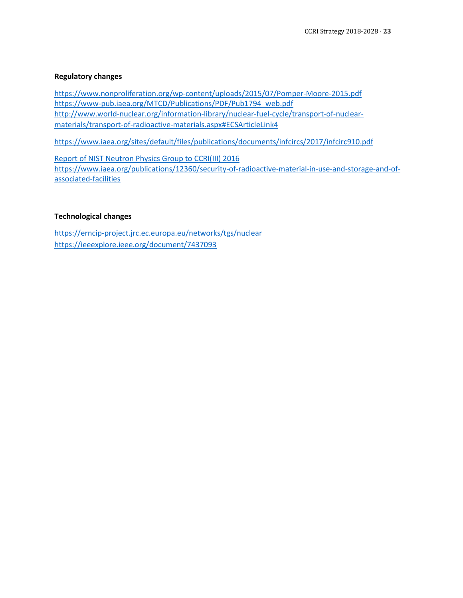## **Regulatory changes**

https://www.nonproliferation.org/wp-content/uploads/2015/07/Pomper-Moore-2015.pdf https://www-pub.iaea.org/MTCD/Publications/PDF/Pub1794\_web.pdf http://www.world-nuclear.org/information-library/nuclear-fuel-cycle/transport-of-nuclearmaterials/transport-of-radioactive-materials.aspx#ECSArticleLink4

https://www.iaea.org/sites/default/files/publications/documents/infcircs/2017/infcirc910.pdf

Report of NIST Neutron Physics Group to CCRI(III) 2016 https://www.iaea.org/publications/12360/security-of-radioactive-material-in-use-and-storage-and-ofassociated-facilities

## **Technological changes**

https://erncip-project.jrc.ec.europa.eu/networks/tgs/nuclear https://ieeexplore.ieee.org/document/7437093